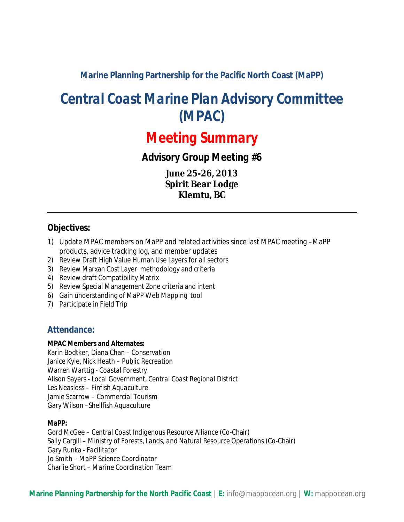**Marine Planning Partnership for the Pacific North Coast (MaPP)**

# *Central Coast Marine Plan Advisory Committee (MPAC)*

# *Meeting Summary*

*Advisory Group Meeting #6*

**June 25-26, 2013 Spirit Bear Lodge Klemtu, BC**

## **Objectives:**

- 1) Update MPAC members on MaPP and related activities since last MPAC meeting –MaPP products, advice tracking log, and member updates
- 2) Review Draft High Value Human Use Layers for all sectors
- 3) Review Marxan Cost Layer methodology and criteria
- 4) Review draft Compatibility Matrix
- 5) Review Special Management Zone criteria and intent
- 6) Gain understanding of MaPP Web Mapping tool
- 7) Participate in Field Trip

## **Attendance:**

#### **MPAC Members and Alternates:**

Karin Bodtker, Diana Chan – *Conservation* Janice Kyle, Nick Heath – *Public Recreation* Warren Warttig - *Coastal Forestry* Alison Sayers - *Local Government, Central Coast Regional District* Les Neasloss – *Finfish Aquaculture* Jamie Scarrow *– Commercial Tourism* Gary Wilson *–Shellfish Aquaculture*

#### **MaPP:**

Gord McGee – *Central Coast Indigenous Resource Alliance* (Co-Chair) Sally Cargill – *Ministry of Forests, Lands, and Natural Resource Operations* (Co-Chair) Gary Runka *- Facilitator* Jo Smith – *MaPP Science Coordinator* Charlie Short – *Marine Coordination Team*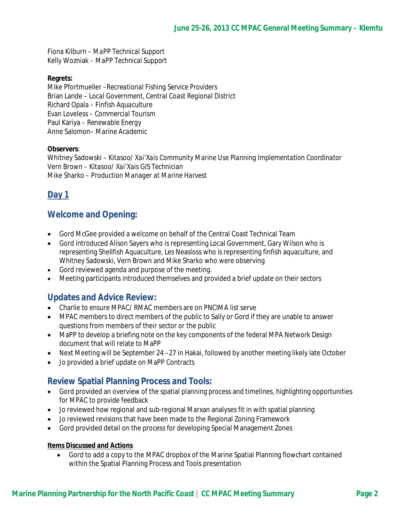Fiona Kilburn – *MaPP Technical Support* Kelly Wozniak – *MaPP Technical Support*

#### **Regrets:**

Mike Pfortmueller –*Recreational Fishing Service Providers* Brian Lande – *Local Government, Central Coast Regional District* Richard Opala – *Finfish Aquaculture* Evan Loveless – *Commercial Tourism* Paul Kariya *– Renewable Energy* Anne Salomon*– Marine Academic*

#### **Observers**:

Whitney Sadowski – *Kitasoo/ Xai'Xais Community Marine Use Planning Implementation Coordinator* Vern Brown – *Kitasoo/ Xai'Xais GIS Technician* Mike Sharko – *Production Manager at Marine Harvest*

# **Day 1**

## **Welcome and Opening:**

- Gord McGee provided a welcome on behalf of the Central Coast Technical Team
- Gord introduced Alison Sayers who is representing Local Government, Gary Wilson who is representing Shellfish Aquaculture, Les Neasloss who is representing finfish aquaculture, and Whitney Sadowski, Vern Brown and Mike Sharko who were observing
- Gord reviewed agenda and purpose of the meeting.
- Meeting participants introduced themselves and provided a brief update on their sectors

### **Updates and Advice Review:**

- Charlie to ensure MPAC/ RMAC members are on PNCIMA list serve
- MPAC members to direct members of the public to Sally or Gord if they are unable to answer questions from members of their sector or the public
- MaPP to develop a briefing note on the key components of the federal MPA Network Design document that will relate to MaPP
- Next Meeting will be September 24-27 in Hakai, followed by another meeting likely late October
- Jo provided a brief update on MaPP Contracts

### **Review Spatial Planning Process and Tools:**

- Gord provided an overview of the spatial planning process and timelines, highlighting opportunities for MPAC to provide feedback
- Jo reviewed how regional and sub-regional Marxan analyses fit in with spatial planning
- Jo reviewed revisions that have been made to the Regional Zoning Framework
- Gord provided detail on the process for developing Special Management Zones

#### **Items Discussed and Actions**

 Gord to add a copy to the MPAC dropbox of the Marine Spatial Planning flowchart contained within the Spatial Planning Process and Tools presentation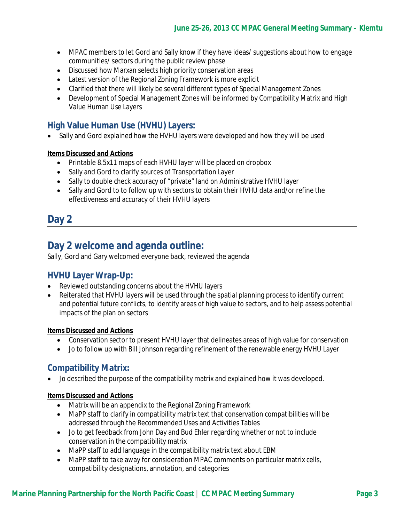- MPAC members to let Gord and Sally know if they have ideas/ suggestions about how to engage communities/ sectors during the public review phase
- Discussed how Marxan selects high priority conservation areas
- Latest version of the Regional Zoning Framework is more explicit
- Clarified that there will likely be several different types of Special Management Zones
- Development of Special Management Zones will be informed by Compatibility Matrix and High Value Human Use Layers

# **High Value Human Use (HVHU) Layers:**

• Sally and Gord explained how the HVHU layers were developed and how they will be used

### **Items Discussed and Actions**

- Printable 8.5x11 maps of each HVHU layer will be placed on dropbox
- Sally and Gord to clarify sources of Transportation Layer
- Sally to double check accuracy of "private" land on Administrative HVHU layer
- Sally and Gord to to follow up with sectors to obtain their HVHU data and/or refine the effectiveness and accuracy of their HVHU layers

# **Day 2**

# **Day 2 welcome and agenda outline:**

Sally, Gord and Gary welcomed everyone back, reviewed the agenda

## **HVHU Layer Wrap-Up:**

- Reviewed outstanding concerns about the HVHU layers
- Reiterated that HVHU layers will be used through the spatial planning process to identify current and potential future conflicts, to identify areas of high value to sectors, and to help assess potential impacts of the plan on sectors

### **Items Discussed and Actions**

- Conservation sector to present HVHU layer that delineates areas of high value for conservation
- Jo to follow up with Bill Johnson regarding refinement of the renewable energy HVHU Layer

## **Compatibility Matrix:**

Jo described the purpose of the compatibility matrix and explained how it was developed.

#### **Items Discussed and Actions**

- Matrix will be an appendix to the Regional Zoning Framework
- MaPP staff to clarify in compatibility matrix text that conservation compatibilities will be addressed through the Recommended Uses and Activities Tables
- Jo to get feedback from John Day and Bud Ehler regarding whether or not to include conservation in the compatibility matrix
- MaPP staff to add language in the compatibility matrix text about EBM
- MaPP staff to take away for consideration MPAC comments on particular matrix cells, compatibility designations, annotation, and categories